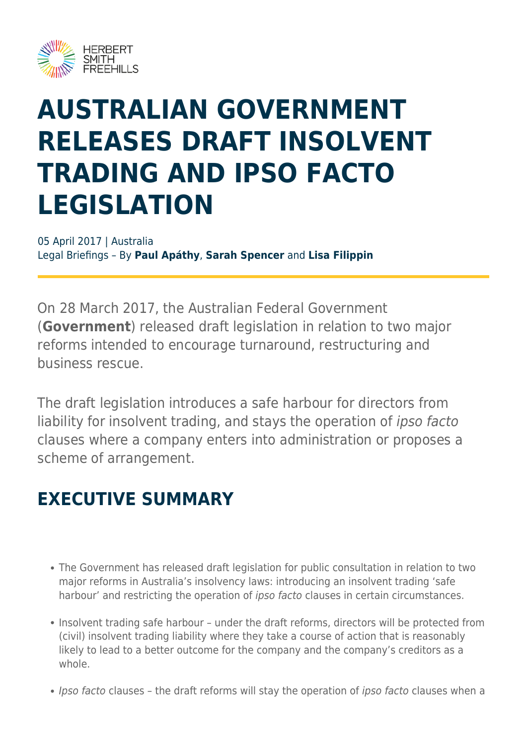

# **AUSTRALIAN GOVERNMENT RELEASES DRAFT INSOLVENT TRADING AND IPSO FACTO LEGISLATION**

05 April 2017 | Australia Legal Briefings – By **Paul Apáthy**, **Sarah Spencer** and **Lisa Filippin**

On 28 March 2017, the Australian Federal Government (**Government**) released draft legislation in relation to two major reforms intended to encourage turnaround, restructuring and business rescue.

The draft legislation introduces a safe harbour for directors from liability for insolvent trading, and stays the operation of ipso facto clauses where a company enters into administration or proposes a scheme of arrangement.

### **EXECUTIVE SUMMARY**

- The Government has released draft legislation for public consultation in relation to two major reforms in Australia's insolvency laws: introducing an insolvent trading 'safe harbour' and restricting the operation of *ipso facto* clauses in certain circumstances.
- Insolvent trading safe harbour under the draft reforms, directors will be protected from (civil) insolvent trading liability where they take a course of action that is reasonably likely to lead to a better outcome for the company and the company's creditors as a whole.
- Ipso facto clauses the draft reforms will stay the operation of ipso facto clauses when a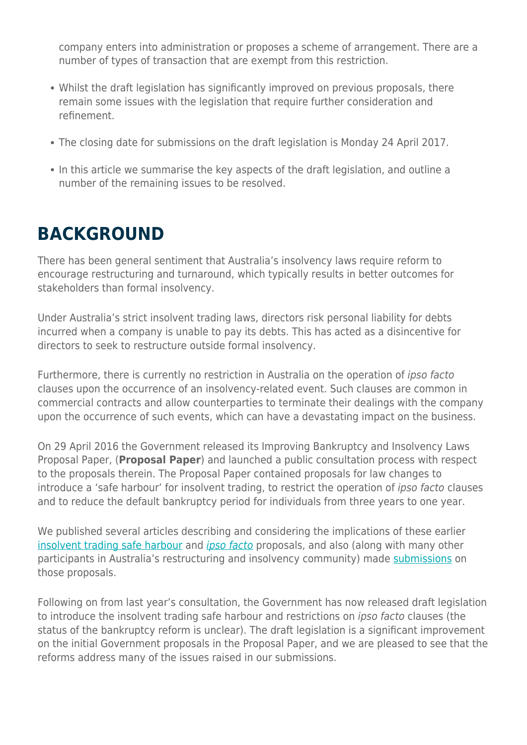company enters into administration or proposes a scheme of arrangement. There are a number of types of transaction that are exempt from this restriction.

- Whilst the draft legislation has significantly improved on previous proposals, there remain some issues with the legislation that require further consideration and refinement.
- The closing date for submissions on the draft legislation is Monday 24 April 2017.
- In this article we summarise the key aspects of the draft legislation, and outline a number of the remaining issues to be resolved.

### **BACKGROUND**

There has been general sentiment that Australia's insolvency laws require reform to encourage restructuring and turnaround, which typically results in better outcomes for stakeholders than formal insolvency.

Under Australia's strict insolvent trading laws, directors risk personal liability for debts incurred when a company is unable to pay its debts. This has acted as a disincentive for directors to seek to restructure outside formal insolvency.

Furthermore, there is currently no restriction in Australia on the operation of ipso facto clauses upon the occurrence of an insolvency-related event. Such clauses are common in commercial contracts and allow counterparties to terminate their dealings with the company upon the occurrence of such events, which can have a devastating impact on the business.

On 29 April 2016 the Government released its Improving Bankruptcy and Insolvency Laws Proposal Paper, (**Proposal Paper**) and launched a public consultation process with respect to the proposals therein. The Proposal Paper contained proposals for law changes to introduce a 'safe harbour' for insolvent trading, to restrict the operation of ipso facto clauses and to reduce the default bankruptcy period for individuals from three years to one year.

We published several articles describing and considering the implications of these earlier [insolvent trading safe harbour](https://www.herbertsmithfreehills.com/latest-thinking/major-insolvency-law-reform-government-sets-sail-towards-an-insolvent-trading-safe) and *[ipso facto](https://www.herbertsmithfreehills.com/latest-thinking/major-insolvency-reform-getting-the-ipso-factos-straight)* proposals, and also (along with many other participants in Australia's restructuring and insolvency community) made [submissions](https://www.herbertsmithfreehills.com/latest-thinking/herbert-smith-freehills%E2%80%99-submission-on-major-insolvency-law-reforms) on those proposals.

Following on from last year's consultation, the Government has now released draft legislation to introduce the insolvent trading safe harbour and restrictions on ipso facto clauses (the status of the bankruptcy reform is unclear). The draft legislation is a significant improvement on the initial Government proposals in the Proposal Paper, and we are pleased to see that the reforms address many of the issues raised in our submissions.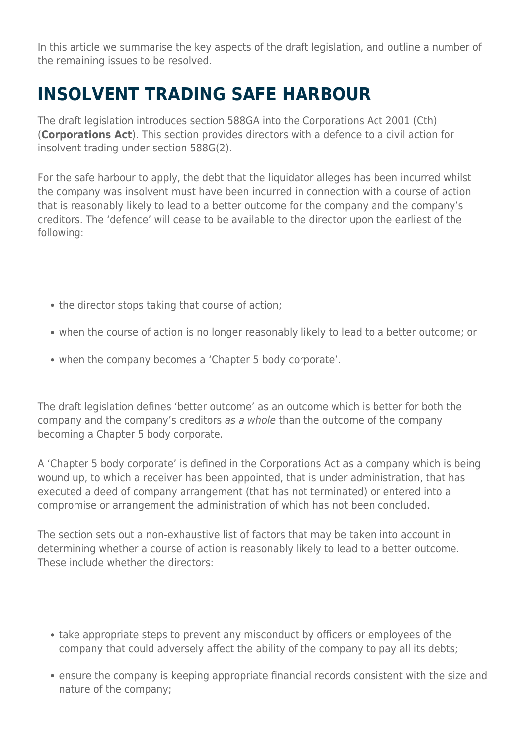In this article we summarise the key aspects of the draft legislation, and outline a number of the remaining issues to be resolved.

### **INSOLVENT TRADING SAFE HARBOUR**

The draft legislation introduces section 588GA into the Corporations Act 2001 (Cth) (**Corporations Act**). This section provides directors with a defence to a civil action for insolvent trading under section 588G(2).

For the safe harbour to apply, the debt that the liquidator alleges has been incurred whilst the company was insolvent must have been incurred in connection with a course of action that is reasonably likely to lead to a better outcome for the company and the company's creditors. The 'defence' will cease to be available to the director upon the earliest of the following:

- the director stops taking that course of action;
- when the course of action is no longer reasonably likely to lead to a better outcome; or
- when the company becomes a 'Chapter 5 body corporate'.

The draft legislation defines 'better outcome' as an outcome which is better for both the company and the company's creditors as a whole than the outcome of the company becoming a Chapter 5 body corporate.

A 'Chapter 5 body corporate' is defined in the Corporations Act as a company which is being wound up, to which a receiver has been appointed, that is under administration, that has executed a deed of company arrangement (that has not terminated) or entered into a compromise or arrangement the administration of which has not been concluded.

The section sets out a non-exhaustive list of factors that may be taken into account in determining whether a course of action is reasonably likely to lead to a better outcome. These include whether the directors:

- take appropriate steps to prevent any misconduct by officers or employees of the company that could adversely affect the ability of the company to pay all its debts;
- ensure the company is keeping appropriate financial records consistent with the size and nature of the company;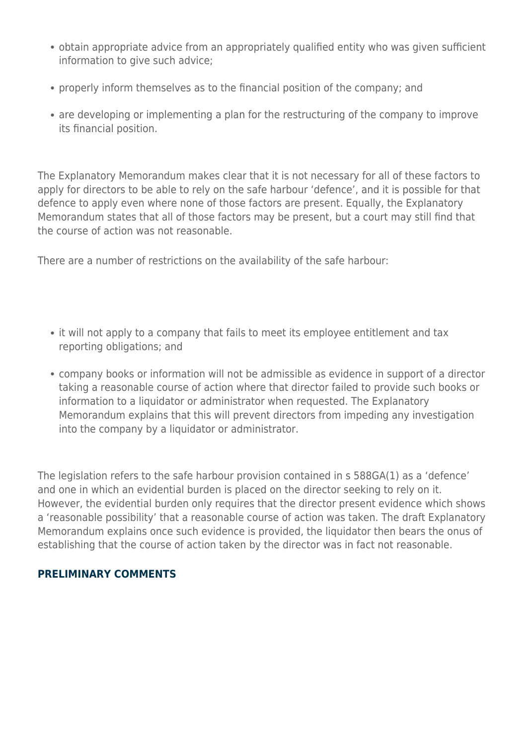- obtain appropriate advice from an appropriately qualified entity who was given sufficient information to give such advice;
- properly inform themselves as to the financial position of the company; and
- are developing or implementing a plan for the restructuring of the company to improve its financial position.

The Explanatory Memorandum makes clear that it is not necessary for all of these factors to apply for directors to be able to rely on the safe harbour 'defence', and it is possible for that defence to apply even where none of those factors are present. Equally, the Explanatory Memorandum states that all of those factors may be present, but a court may still find that the course of action was not reasonable.

There are a number of restrictions on the availability of the safe harbour:

- it will not apply to a company that fails to meet its employee entitlement and tax reporting obligations; and
- company books or information will not be admissible as evidence in support of a director taking a reasonable course of action where that director failed to provide such books or information to a liquidator or administrator when requested. The Explanatory Memorandum explains that this will prevent directors from impeding any investigation into the company by a liquidator or administrator.

The legislation refers to the safe harbour provision contained in s 588GA(1) as a 'defence' and one in which an evidential burden is placed on the director seeking to rely on it. However, the evidential burden only requires that the director present evidence which shows a 'reasonable possibility' that a reasonable course of action was taken. The draft Explanatory Memorandum explains once such evidence is provided, the liquidator then bears the onus of establishing that the course of action taken by the director was in fact not reasonable.

#### **PRELIMINARY COMMENTS**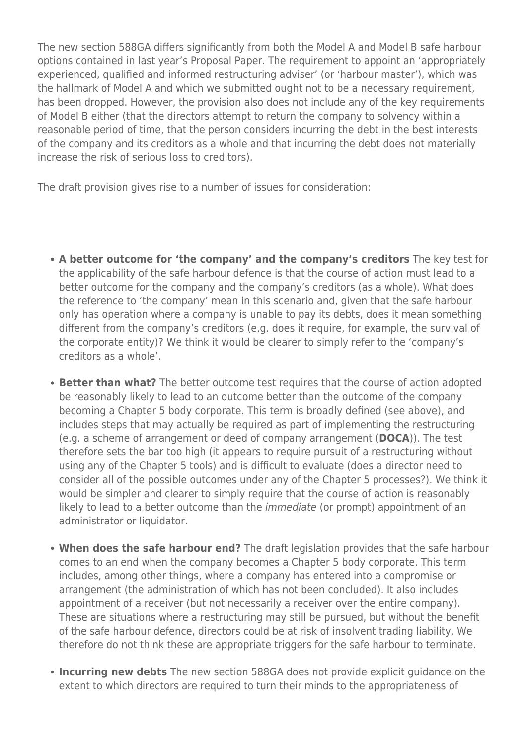The new section 588GA differs significantly from both the Model A and Model B safe harbour options contained in last year's Proposal Paper. The requirement to appoint an 'appropriately experienced, qualified and informed restructuring adviser' (or 'harbour master'), which was the hallmark of Model A and which we submitted ought not to be a necessary requirement, has been dropped. However, the provision also does not include any of the key requirements of Model B either (that the directors attempt to return the company to solvency within a reasonable period of time, that the person considers incurring the debt in the best interests of the company and its creditors as a whole and that incurring the debt does not materially increase the risk of serious loss to creditors).

The draft provision gives rise to a number of issues for consideration:

- **A better outcome for 'the company' and the company's creditors** The key test for the applicability of the safe harbour defence is that the course of action must lead to a better outcome for the company and the company's creditors (as a whole). What does the reference to 'the company' mean in this scenario and, given that the safe harbour only has operation where a company is unable to pay its debts, does it mean something different from the company's creditors (e.g. does it require, for example, the survival of the corporate entity)? We think it would be clearer to simply refer to the 'company's creditors as a whole'.
- **Better than what?** The better outcome test requires that the course of action adopted be reasonably likely to lead to an outcome better than the outcome of the company becoming a Chapter 5 body corporate. This term is broadly defined (see above), and includes steps that may actually be required as part of implementing the restructuring (e.g. a scheme of arrangement or deed of company arrangement (**DOCA**)). The test therefore sets the bar too high (it appears to require pursuit of a restructuring without using any of the Chapter 5 tools) and is difficult to evaluate (does a director need to consider all of the possible outcomes under any of the Chapter 5 processes?). We think it would be simpler and clearer to simply require that the course of action is reasonably likely to lead to a better outcome than the *immediate* (or prompt) appointment of an administrator or liquidator.
- **When does the safe harbour end?** The draft legislation provides that the safe harbour comes to an end when the company becomes a Chapter 5 body corporate. This term includes, among other things, where a company has entered into a compromise or arrangement (the administration of which has not been concluded). It also includes appointment of a receiver (but not necessarily a receiver over the entire company). These are situations where a restructuring may still be pursued, but without the benefit of the safe harbour defence, directors could be at risk of insolvent trading liability. We therefore do not think these are appropriate triggers for the safe harbour to terminate.
- **Incurring new debts** The new section 588GA does not provide explicit guidance on the extent to which directors are required to turn their minds to the appropriateness of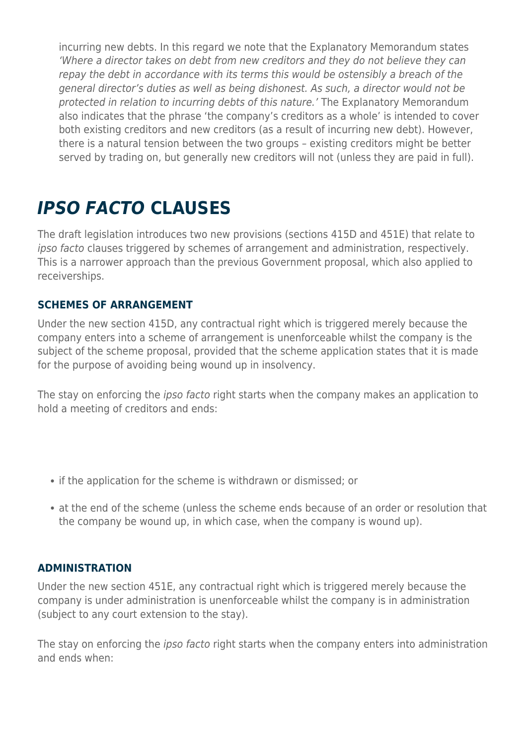incurring new debts. In this regard we note that the Explanatory Memorandum states 'Where a director takes on debt from new creditors and they do not believe they can repay the debt in accordance with its terms this would be ostensibly a breach of the general director's duties as well as being dishonest. As such, a director would not be protected in relation to incurring debts of this nature.' The Explanatory Memorandum also indicates that the phrase 'the company's creditors as a whole' is intended to cover both existing creditors and new creditors (as a result of incurring new debt). However, there is a natural tension between the two groups – existing creditors might be better served by trading on, but generally new creditors will not (unless they are paid in full).

### *IPSO FACTO* **CLAUSES**

The draft legislation introduces two new provisions (sections 415D and 451E) that relate to ipso facto clauses triggered by schemes of arrangement and administration, respectively. This is a narrower approach than the previous Government proposal, which also applied to receiverships.

#### **SCHEMES OF ARRANGEMENT**

Under the new section 415D, any contractual right which is triggered merely because the company enters into a scheme of arrangement is unenforceable whilst the company is the subject of the scheme proposal, provided that the scheme application states that it is made for the purpose of avoiding being wound up in insolvency.

The stay on enforcing the *ipso facto* right starts when the company makes an application to hold a meeting of creditors and ends:

- if the application for the scheme is withdrawn or dismissed; or
- at the end of the scheme (unless the scheme ends because of an order or resolution that the company be wound up, in which case, when the company is wound up).

#### **ADMINISTRATION**

Under the new section 451E, any contractual right which is triggered merely because the company is under administration is unenforceable whilst the company is in administration (subject to any court extension to the stay).

The stay on enforcing the *ipso facto* right starts when the company enters into administration and ends when: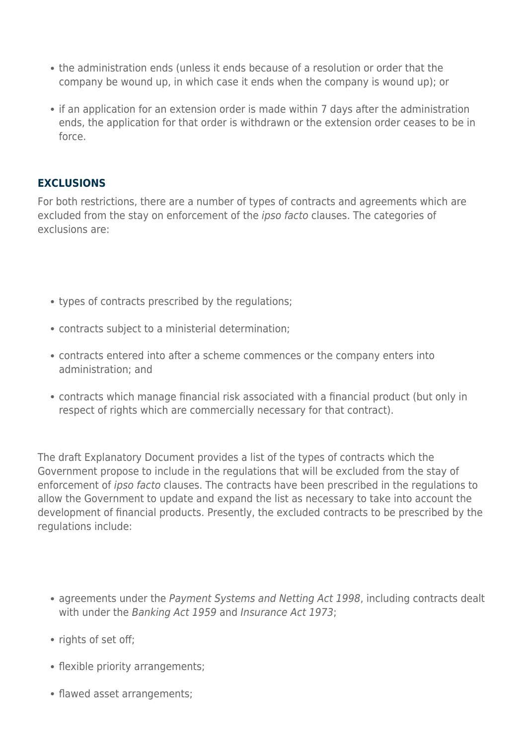- the administration ends (unless it ends because of a resolution or order that the company be wound up, in which case it ends when the company is wound up); or
- if an application for an extension order is made within 7 days after the administration ends, the application for that order is withdrawn or the extension order ceases to be in force.

#### **EXCLUSIONS**

For both restrictions, there are a number of types of contracts and agreements which are excluded from the stay on enforcement of the ipso facto clauses. The categories of exclusions are:

- types of contracts prescribed by the regulations;
- contracts subject to a ministerial determination;
- contracts entered into after a scheme commences or the company enters into administration; and
- contracts which manage financial risk associated with a financial product (but only in respect of rights which are commercially necessary for that contract).

The draft Explanatory Document provides a list of the types of contracts which the Government propose to include in the regulations that will be excluded from the stay of enforcement of ipso facto clauses. The contracts have been prescribed in the regulations to allow the Government to update and expand the list as necessary to take into account the development of financial products. Presently, the excluded contracts to be prescribed by the regulations include:

- agreements under the Payment Systems and Netting Act 1998, including contracts dealt with under the Banking Act 1959 and Insurance Act 1973;
- rights of set off;
- flexible priority arrangements;
- flawed asset arrangements;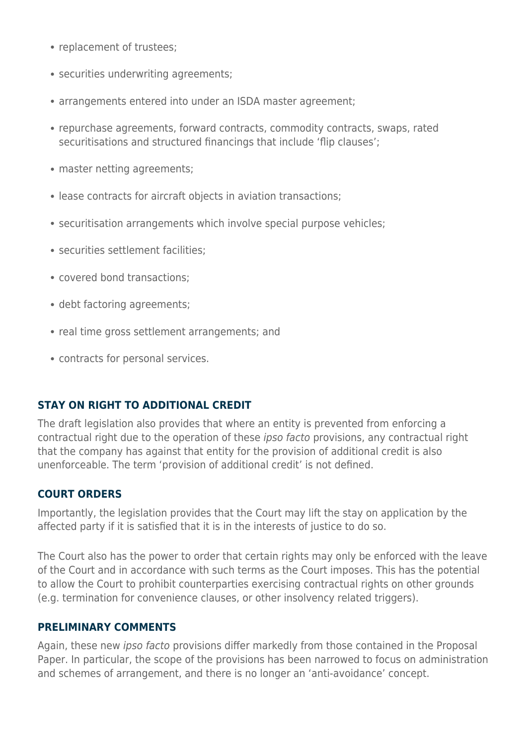- replacement of trustees:
- securities underwriting agreements;
- arrangements entered into under an ISDA master agreement;
- repurchase agreements, forward contracts, commodity contracts, swaps, rated securitisations and structured financings that include 'flip clauses';
- master netting agreements;
- lease contracts for aircraft objects in aviation transactions;
- securitisation arrangements which involve special purpose vehicles;
- securities settlement facilities;
- covered bond transactions;
- debt factoring agreements;
- real time gross settlement arrangements; and
- contracts for personal services.

#### **STAY ON RIGHT TO ADDITIONAL CREDIT**

The draft legislation also provides that where an entity is prevented from enforcing a contractual right due to the operation of these ipso facto provisions, any contractual right that the company has against that entity for the provision of additional credit is also unenforceable. The term 'provision of additional credit' is not defined.

#### **COURT ORDERS**

Importantly, the legislation provides that the Court may lift the stay on application by the affected party if it is satisfied that it is in the interests of justice to do so.

The Court also has the power to order that certain rights may only be enforced with the leave of the Court and in accordance with such terms as the Court imposes. This has the potential to allow the Court to prohibit counterparties exercising contractual rights on other grounds (e.g. termination for convenience clauses, or other insolvency related triggers).

#### **PRELIMINARY COMMENTS**

Again, these new ipso facto provisions differ markedly from those contained in the Proposal Paper. In particular, the scope of the provisions has been narrowed to focus on administration and schemes of arrangement, and there is no longer an 'anti-avoidance' concept.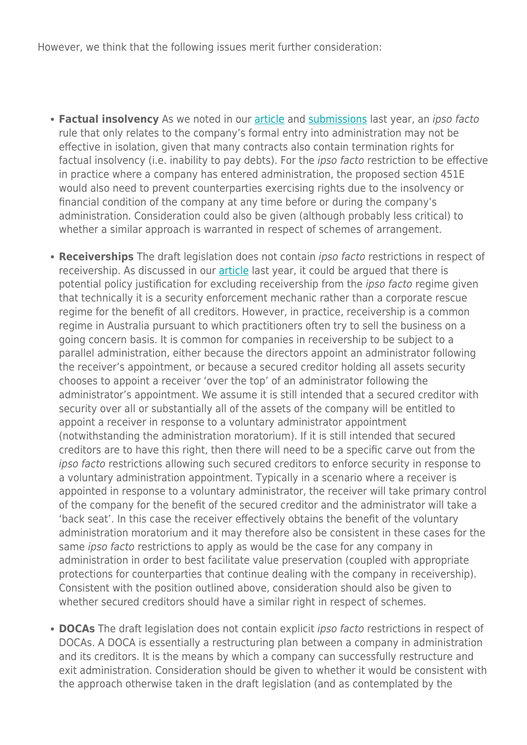However, we think that the following issues merit further consideration:

- **Factual insolvency** As we noted in our [article](https://www.herbertsmithfreehills.com/latest-thinking/major-insolvency-reform-getting-the-ipso-factos-straight) and [submissions](https://www.herbertsmithfreehills.com/latest-thinking/herbert-smith-freehills%E2%80%99-submission-on-major-insolvency-law-reforms) last year, an ipso facto rule that only relates to the company's formal entry into administration may not be effective in isolation, given that many contracts also contain termination rights for factual insolvency (i.e. inability to pay debts). For the ipso facto restriction to be effective in practice where a company has entered administration, the proposed section 451E would also need to prevent counterparties exercising rights due to the insolvency or financial condition of the company at any time before or during the company's administration. Consideration could also be given (although probably less critical) to whether a similar approach is warranted in respect of schemes of arrangement.
- **Receiverships** The draft legislation does not contain ipso facto restrictions in respect of receivership. As discussed in our [article](https://www.herbertsmithfreehills.com/latest-thinking/major-insolvency-reform-getting-the-ipso-factos-straight) last year, it could be argued that there is potential policy justification for excluding receivership from the *ipso facto* regime given that technically it is a security enforcement mechanic rather than a corporate rescue regime for the benefit of all creditors. However, in practice, receivership is a common regime in Australia pursuant to which practitioners often try to sell the business on a going concern basis. It is common for companies in receivership to be subject to a parallel administration, either because the directors appoint an administrator following the receiver's appointment, or because a secured creditor holding all assets security chooses to appoint a receiver 'over the top' of an administrator following the administrator's appointment. We assume it is still intended that a secured creditor with security over all or substantially all of the assets of the company will be entitled to appoint a receiver in response to a voluntary administrator appointment (notwithstanding the administration moratorium). If it is still intended that secured creditors are to have this right, then there will need to be a specific carve out from the ipso facto restrictions allowing such secured creditors to enforce security in response to a voluntary administration appointment. Typically in a scenario where a receiver is appointed in response to a voluntary administrator, the receiver will take primary control of the company for the benefit of the secured creditor and the administrator will take a 'back seat'. In this case the receiver effectively obtains the benefit of the voluntary administration moratorium and it may therefore also be consistent in these cases for the same *ipso facto* restrictions to apply as would be the case for any company in administration in order to best facilitate value preservation (coupled with appropriate protections for counterparties that continue dealing with the company in receivership). Consistent with the position outlined above, consideration should also be given to whether secured creditors should have a similar right in respect of schemes.
- **DOCAs** The draft legislation does not contain explicit *ipso facto* restrictions in respect of DOCAs. A DOCA is essentially a restructuring plan between a company in administration and its creditors. It is the means by which a company can successfully restructure and exit administration. Consideration should be given to whether it would be consistent with the approach otherwise taken in the draft legislation (and as contemplated by the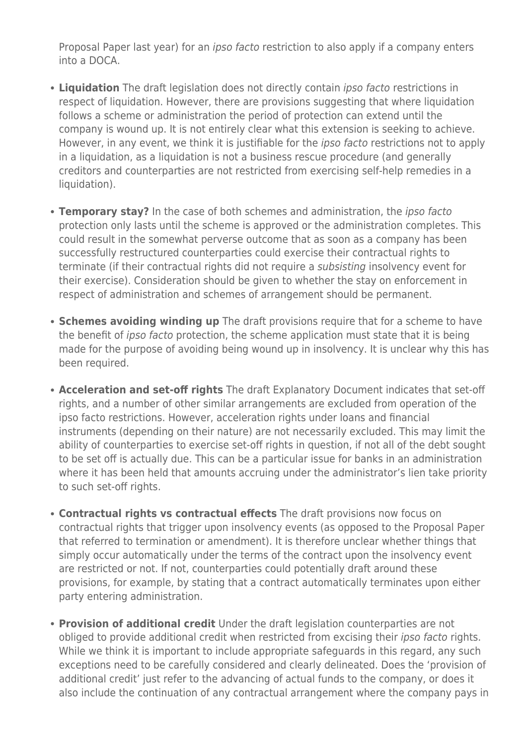Proposal Paper last year) for an ipso facto restriction to also apply if a company enters into a DOCA.

- **Liquidation** The draft legislation does not directly contain ipso facto restrictions in respect of liquidation. However, there are provisions suggesting that where liquidation follows a scheme or administration the period of protection can extend until the company is wound up. It is not entirely clear what this extension is seeking to achieve. However, in any event, we think it is justifiable for the *ipso facto* restrictions not to apply in a liquidation, as a liquidation is not a business rescue procedure (and generally creditors and counterparties are not restricted from exercising self-help remedies in a liquidation).
- **Temporary stay?** In the case of both schemes and administration, the ipso facto protection only lasts until the scheme is approved or the administration completes. This could result in the somewhat perverse outcome that as soon as a company has been successfully restructured counterparties could exercise their contractual rights to terminate (if their contractual rights did not require a subsisting insolvency event for their exercise). Consideration should be given to whether the stay on enforcement in respect of administration and schemes of arrangement should be permanent.
- **Schemes avoiding winding up** The draft provisions require that for a scheme to have the benefit of ipso facto protection, the scheme application must state that it is being made for the purpose of avoiding being wound up in insolvency. It is unclear why this has been required.
- **Acceleration and set-off rights** The draft Explanatory Document indicates that set-off rights, and a number of other similar arrangements are excluded from operation of the ipso facto restrictions. However, acceleration rights under loans and financial instruments (depending on their nature) are not necessarily excluded. This may limit the ability of counterparties to exercise set-off rights in question, if not all of the debt sought to be set off is actually due. This can be a particular issue for banks in an administration where it has been held that amounts accruing under the administrator's lien take priority to such set-off rights.
- **Contractual rights vs contractual effects** The draft provisions now focus on contractual rights that trigger upon insolvency events (as opposed to the Proposal Paper that referred to termination or amendment). It is therefore unclear whether things that simply occur automatically under the terms of the contract upon the insolvency event are restricted or not. If not, counterparties could potentially draft around these provisions, for example, by stating that a contract automatically terminates upon either party entering administration.
- **Provision of additional credit** Under the draft legislation counterparties are not obliged to provide additional credit when restricted from excising their *ipso facto* rights. While we think it is important to include appropriate safeguards in this regard, any such exceptions need to be carefully considered and clearly delineated. Does the 'provision of additional credit' just refer to the advancing of actual funds to the company, or does it also include the continuation of any contractual arrangement where the company pays in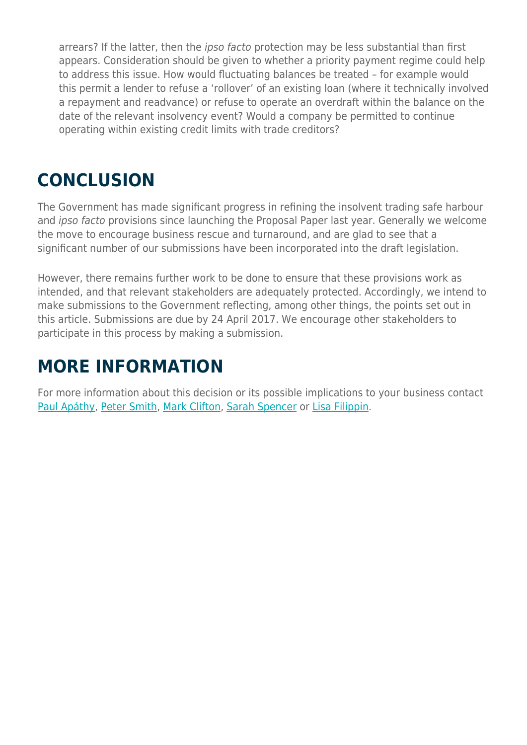arrears? If the latter, then the ipso facto protection may be less substantial than first appears. Consideration should be given to whether a priority payment regime could help to address this issue. How would fluctuating balances be treated – for example would this permit a lender to refuse a 'rollover' of an existing loan (where it technically involved a repayment and readvance) or refuse to operate an overdraft within the balance on the date of the relevant insolvency event? Would a company be permitted to continue operating within existing credit limits with trade creditors?

### **CONCLUSION**

The Government has made significant progress in refining the insolvent trading safe harbour and ipso facto provisions since launching the Proposal Paper last year. Generally we welcome the move to encourage business rescue and turnaround, and are glad to see that a significant number of our submissions have been incorporated into the draft legislation.

However, there remains further work to be done to ensure that these provisions work as intended, and that relevant stakeholders are adequately protected. Accordingly, we intend to make submissions to the Government reflecting, among other things, the points set out in this article. Submissions are due by 24 April 2017. We encourage other stakeholders to participate in this process by making a submission.

### **MORE INFORMATION**

For more information about this decision or its possible implications to your business contact [Paul Apáthy](mailto:Paul.Apathy@hsf.com ?subject=Step%20forward%20in%20Australia%E2%80%99s%20insolvency%20laws%20and%20ipso%20facto%20legislation), [Peter Smith](mailto:Peter.A.Smith@hsf.com ?subject=Step%20forward%20in%20Australia%E2%80%99s%20insolvency%20laws%20and%20ipso%20facto%20legislation), [Mark Clifton](mailto:Mark.Clifton@hsf.com?subject=Step%20forward%20in%20Australia%E2%80%99s%20insolvency%20laws%20and%20ipso%20facto%20legislation), [Sarah Spencer](mailto:Sarah.Spencer@hsf.com?subject=Step%20forward%20in%20Australia%E2%80%99s%20insolvency%20laws%20and%20ipso%20facto%20legislation) or [Lisa Filippin.](mailto:Lisa.Filippin@hsf.com?subject=Step%20forward%20in%20Australia%E2%80%99s%20insolvency%20laws%20and%20ipso%20facto%20legislation)